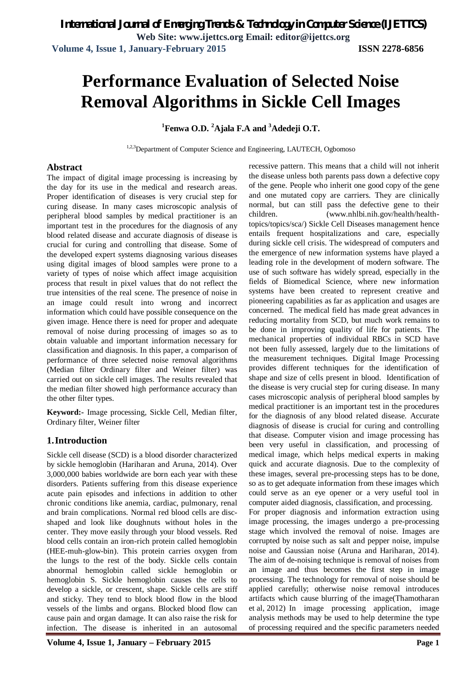# **Performance Evaluation of Selected Noise Removal Algorithms in Sickle Cell Images**

# **<sup>1</sup>Fenwa O.D. <sup>2</sup>Ajala F.A and <sup>3</sup>Adedeji O.T.**

1,2,3 Department of Computer Science and Engineering, LAUTECH, Ogbomoso

#### **Abstract**

The impact of digital image processing is increasing by the day for its use in the medical and research areas. Proper identification of diseases is very crucial step for curing disease. In many cases microscopic analysis of peripheral blood samples by medical practitioner is an important test in the procedures for the diagnosis of any blood related disease and accurate diagnosis of disease is crucial for curing and controlling that disease. Some of the developed expert systems diagnosing various diseases using digital images of blood samples were prone to a variety of types of noise which affect image acquisition process that result in pixel values that do not reflect the true intensities of the real scene. The presence of noise in an image could result into wrong and incorrect information which could have possible consequence on the given image. Hence there is need for proper and adequate removal of noise during processing of images so as to obtain valuable and important information necessary for classification and diagnosis. In this paper, a comparison of performance of three selected noise removal algorithms (Median filter Ordinary filter and Weiner filter) was carried out on sickle cell images. The results revealed that the median filter showed high performance accuracy than the other filter types.

**Keyword:-** Image processing, Sickle Cell, Median filter, Ordinary filter, Weiner filter

# **1.Introduction**

Sickle cell disease (SCD) is a blood disorder characterized by sickle hemoglobin (Hariharan and Aruna, 2014). Over 3,000,000 babies worldwide are born each year with these disorders. Patients suffering from this disease experience acute pain episodes and infections in addition to other chronic conditions like anemia, cardiac, pulmonary, renal and brain complications. Normal red blood cells are discshaped and look like doughnuts without holes in the center. They move easily through your blood vessels. Red blood cells contain an iron-rich protein called hemoglobin (HEE-muh-glow-bin). This protein carries oxygen from the lungs to the rest of the body. Sickle cells contain abnormal hemoglobin called sickle hemoglobin or hemoglobin S. Sickle hemoglobin causes the cells to develop a sickle, or crescent, shape. Sickle cells are stiff and sticky. They tend to block blood flow in the blood vessels of the limbs and organs. Blocked blood flow can cause pain and organ damage. It can also raise the risk for infection. The disease is inherited in an autosomal

recessive pattern. This means that a child will not inherit the disease unless both parents pass down a defective copy of the gene. People who inherit one good copy of the gene and one mutated copy are carriers. They are clinically normal, but can still pass the defective gene to their children. (www.nhlbi.nih.gov/health/healthtopics/topics/sca/) Sickle Cell Diseases management hence entails frequent hospitalizations and care, especially during sickle cell crisis. The widespread of computers and the emergence of new information systems have played a leading role in the development of modern software. The use of such software has widely spread, especially in the fields of Biomedical Science, where new information systems have been created to represent creative and pioneering capabilities as far as application and usages are concerned. The medical field has made great advances in reducing mortality from SCD, but much work remains to be done in improving quality of life for patients. The mechanical properties of individual RBCs in SCD have not been fully assessed, largely due to the limitations of the measurement techniques. Digital Image Processing provides different techniques for the identification of shape and size of cells present in blood. Identification of the disease is very crucial step for curing disease. In many cases microscopic analysis of peripheral blood samples by medical practitioner is an important test in the procedures for the diagnosis of any blood related disease. Accurate diagnosis of disease is crucial for curing and controlling that disease. Computer vision and image processing has been very useful in classification, and processing of medical image, which helps medical experts in making quick and accurate diagnosis. Due to the complexity of these images, several pre-processing steps has to be done, so as to get adequate information from these images which could serve as an eye opener or a very useful tool in computer aided diagnosis, classification, and processing. For proper diagnosis and information extraction using image processing, the images undergo a pre-processing stage which involved the removal of noise. Images are corrupted by noise such as salt and pepper noise, impulse noise and Gaussian noise (Aruna and Hariharan, 2014). The aim of de-noising technique is removal of noises from

an image and thus becomes the first step in image processing. The technology for removal of noise should be applied carefully; otherwise noise removal introduces artifacts which cause blurring of the image(Thamotharan et al, 2012) In image processing application, image analysis methods may be used to help determine the type of processing required and the specific parameters needed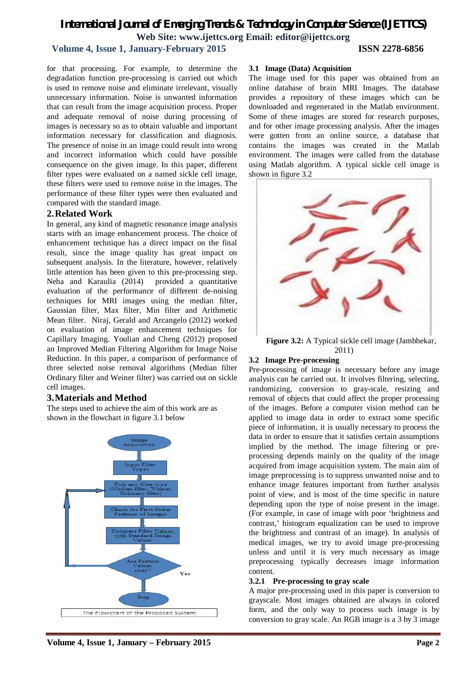# **Volume 4, Issue 1, January-February 2015 ISSN 2278-6856**

for that processing. For example, to determine the degradation function pre-processing is carried out which is used to remove noise and eliminate irrelevant, visually unnecessary information. Noise is unwanted information that can result from the image acquisition process. Proper and adequate removal of noise during processing of images is necessary so as to obtain valuable and important information necessary for classification and diagnosis. The presence of noise in an image could result into wrong and incorrect information which could have possible consequence on the given image. In this paper, different filter types were evaluated on a named sickle cell image, these filters were used to remove noise in the images. The performance of these filter types were then evaluated and compared with the standard image.

#### **2.Related Work**

In general, any kind of magnetic resonance image analysis starts with an image enhancement process. The choice of enhancement technique has a direct impact on the final result, since the image quality has great impact on subsequent analysis. In the literature, however, relatively little attention has been given to this pre-processing step. Neha and Karaulia (2014) provided a quantitative evaluation of the performance of different de-noising techniques for MRI images using the median filter, Gaussian filter, Max filter, Min filter and Arithmetic Mean filter. Niraj, Gerald and Arcangelo (2012) worked on evaluation of image enhancement techniques for Capillary Imaging. Youlian and Cheng (2012) proposed an Improved Median Filtering Algorithm for Image Noise Reduction. In this paper, a comparison of performance of three selected noise removal algorithms (Median filter Ordinary filter and Weiner filter) was carried out on sickle cell images.

# **3.Materials and Method**

The steps used to achieve the aim of this work are as shown in the flowchart in figure 3.1 below



#### **3.1 Image (Data) Acquisition**

The image used for this paper was obtained from an online database of brain MRI Images. The database provides a repository of these images which can be downloaded and regenerated in the Matlab environment. Some of these images are stored for research purposes, and for other image processing analysis. After the images were gotten from an online source, a database that contains the images was created in the Matlab environment. The images were called from the database using Matlab algorithm. A typical sickle cell image is shown in figure 3.2



**Figure 3.2:** A Typical sickle cell image (Jambhekar, 2011)

#### **3.2 Image Pre-processing**

Pre-processing of image is necessary before any image analysis can be carried out. It involves filtering, selecting, randomizing, conversion to gray-scale, resizing and removal of objects that could affect the proper processing of the images. Before a computer vision method can be applied to image data in order to extract some specific piece of information, it is usually necessary to process the data in order to ensure that it satisfies certain assumptions implied by the method. The image filtering or preprocessing depends mainly on the quality of the image acquired from image acquisition system. The main aim of image preprocessing is to suppress unwanted noise and to enhance image features important from further analysis point of view, and is most of the time specific in nature depending upon the type of noise present in the image. (For example, in case of image with poor 'brightness and contrast,' histogram equalization can be used to improve the brightness and contrast of an image). In analysis of medical images, we try to avoid image pre-processing unless and until it is very much necessary as image preprocessing typically decreases image information content.

#### **3.2.1 Pre-processing to gray scale**

A major pre-processing used in this paper is conversion to grayscale. Most images obtained are always in colored form, and the only way to process such image is by conversion to gray scale. An RGB image is a 3 by 3 image

**Volume 4, Issue 1, January – February 2015 Page 2**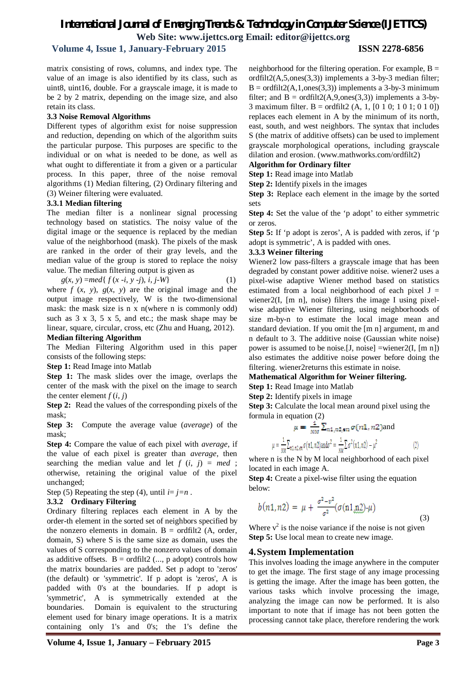**Volume 4, Issue 1, January-February 2015 ISSN 2278-6856**

matrix consisting of rows, columns, and index type. The value of an image is also identified by its class, such as uint8, uint16, double. For a grayscale image, it is made to be 2 by 2 matrix, depending on the image size, and also retain its class.

#### **3.3 Noise Removal Algorithms**

Different types of algorithm exist for noise suppression and reduction, depending on which of the algorithm suits the particular purpose. This purposes are specific to the individual or on what is needed to be done, as well as what ought to differentiate it from a given or a particular process. In this paper, three of the noise removal algorithms (1) Median filtering, (2) Ordinary filtering and (3) Weiner filtering were evaluated.

#### **3.3.1 Median filtering**

The median filter is a nonlinear signal processing technology based on statistics. The noisy value of the digital image or the sequence is replaced by the median value of the neighborhood (mask). The pixels of the mask are ranked in the order of their gray levels, and the median value of the group is stored to replace the noisy value. The median filtering output is given as

$$
g(x, y) = med\{f(x - i, y - j), i, j - W\}
$$
 (1)

where  $f(x, y)$ ,  $g(x, y)$  are the original image and the output image respectively, W is the two-dimensional mask: the mask size is n x n(where n is commonly odd) such as  $3 \times 3$ ,  $5 \times 5$ , and etc.; the mask shape may be linear, square, circular, cross, etc (Zhu and Huang, 2012).

# **Median filtering Algorithm**

The Median Filtering Algorithm used in this paper consists of the following steps:

**Step 1:** Read Image into Matlab

**Step 1:** The mask slides over the image, overlaps the center of the mask with the pixel on the image to search the center element  $f(i, j)$ 

**Step 2:** Read the values of the corresponding pixels of the mask;

**Step 3:** Compute the average value (*average*) of the mask;

**Step 4:** Compare the value of each pixel with *average*, if the value of each pixel is greater than *average*, then searching the median value and let  $f(i, j) = med$ ; otherwise, retaining the original value of the pixel unchanged;

Step (5) Repeating the step (4), until  $i=j=n$ .

# **3.3.2 Ordinary Filtering**

Ordinary filtering replaces each element in A by the order-th element in the sorted set of neighbors specified by the nonzero elements in domain.  $B = \text{ordfilt2}$  (A, order, domain, S) where S is the same size as domain, uses the values of S corresponding to the nonzero values of domain as additive offsets.  $B = \text{ordfilt2}$  (..., p adopt) controls how the matrix boundaries are padded. Set p adopt to 'zeros' (the default) or 'symmetric'. If p adopt is 'zeros', A is padded with 0's at the boundaries. If p adopt is 'symmetric', A is symmetrically extended at the boundaries. Domain is equivalent to the structuring element used for binary image operations. It is a matrix containing only 1's and 0's; the 1's define the neighborhood for the filtering operation. For example,  $B =$ ordfilt2(A,5,ones(3,3)) implements a 3-by-3 median filter;  $B = \text{ordfilt2}(A, 1, \text{ones}(3,3))$  implements a 3-by-3 minimum filter; and  $B = \text{ordfilt2}(A, 9, \text{ones}(3, 3))$  implements a 3-by-3 maximum filter. B = ordfilt2 (A, 1, [0 1 0; 1 0 1; 0 1 0]) replaces each element in A by the minimum of its north, east, south, and west neighbors. The syntax that includes S (the matrix of additive offsets) can be used to implement grayscale morphological operations, including grayscale dilation and erosion. (www.mathworks.com/ordfilt2)

#### **Algorithm for Ordinary filter**

**Step 1:** Read image into Matlab

**Step 2:** Identify pixels in the images

**Step 3:** Replace each element in the image by the sorted sets

**Step 4:** Set the value of the 'p adopt' to either symmetric or zeros.

**Step 5:** If 'p adopt is zeros', A is padded with zeros, if 'p adopt is symmetric', A is padded with ones.

#### **3.3.3 Weiner filtering**

Wiener2 low pass-filters a grayscale image that has been degraded by constant power additive noise. wiener2 uses a pixel-wise adaptive Wiener method based on statistics estimated from a local neighborhood of each pixel  $J =$ wiener2(I, [m n], noise) filters the image I using pixelwise adaptive Wiener filtering, using neighborhoods of size m-by-n to estimate the local image mean and standard deviation. If you omit the [m n] argument, m and n default to 3. The additive noise (Gaussian white noise) power is assumed to be noise.[J, noise] =wiener2(I, [m n]) also estimates the additive noise power before doing the filtering. wiener2returns this estimate in noise.

#### **Mathematical Algorithm for Weiner filtering. Step 1:** Read Image into Matlab

**Step 2:** Identify pixels in image

**Step 3:** Calculate the local mean around pixel using the formula in equation (2)

$$
\mu = \frac{1}{NM} \sum_{m,n} \sum_{n=1, n \neq n} \sigma(n1, n2) \text{ and}
$$

$$
c = \frac{1}{M} \sum_{n \neq n} \sum_{n \neq n} \sigma(n1, n2) \text{ and } c^2 = \frac{1}{M} \sum_{n} \sigma^2(n1, n2) - \mu^2 \tag{2}
$$

where n is the N by M local neighborhood of each pixel located in each image A.

**Step 4:** Create a pixel-wise filter using the equation below:

$$
b(n1, n2) = \mu + \frac{\sigma^2 - v^2}{\sigma^2} (\sigma(n1, n2) - \mu)
$$
\n(3)

Where  $v^2$  is the noise variance if the noise is not given **Step 5:** Use local mean to create new image.

# **4.System Implementation**

This involves loading the image anywhere in the computer to get the image. The first stage of any image processing is getting the image. After the image has been gotten, the various tasks which involve processing the image, analyzing the image can now be performed. It is also important to note that if image has not been gotten the processing cannot take place, therefore rendering the work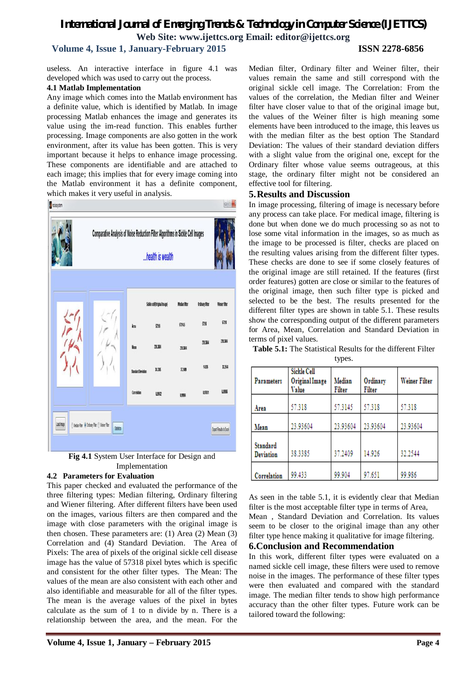# **Volume 4, Issue 1, January-February 2015 ISSN 2278-6856**

useless. An interactive interface in figure 4.1 was developed which was used to carry out the process.

#### **4.1 Matlab Implementation**

Any image which comes into the Matlab environment has a definite value, which is identified by Matlab. In image processing Matlab enhances the image and generates its value using the im-read function. This enables further processing. Image components are also gotten in the work environment, after its value has been gotten. This is very important because it helps to enhance image processing. These components are identifiable and are attached to each image; this implies that for every image coming into the Matlab environment it has a definite component, which makes it very useful in analysis.





#### **4.2 Parameters for Evaluation**

This paper checked and evaluated the performance of the three filtering types: Median filtering, Ordinary filtering and Wiener filtering. After different filters have been used on the images, various filters are then compared and the image with close parameters with the original image is then chosen. These parameters are: (1) Area (2) Mean (3) Correlation and (4) Standard Deviation. The Area of Pixels: The area of pixels of the original sickle cell disease image has the value of 57318 pixel bytes which is specific and consistent for the other filter types. The Mean: The values of the mean are also consistent with each other and also identifiable and measurable for all of the filter types. The mean is the average values of the pixel in bytes calculate as the sum of 1 to n divide by n. There is a relationship between the area, and the mean. For the Median filter, Ordinary filter and Weiner filter, their values remain the same and still correspond with the original sickle cell image. The Correlation: From the values of the correlation, the Median filter and Weiner filter have closer value to that of the original image but, the values of the Weiner filter is high meaning some elements have been introduced to the image, this leaves us with the median filter as the best option The Standard Deviation: The values of their standard deviation differs with a slight value from the original one, except for the Ordinary filter whose value seems outrageous, at this stage, the ordinary filter might not be considered an effective tool for filtering.

#### **5.Results and Discussion**

In image processing, filtering of image is necessary before any process can take place. For medical image, filtering is done but when done we do much processing so as not to lose some vital information in the images, so as much as the image to be processed is filter, checks are placed on the resulting values arising from the different filter types. These checks are done to see if some closely features of the original image are still retained. If the features (first order features) gotten are close or similar to the features of the original image, then such filter type is picked and selected to be the best. The results presented for the different filter types are shown in table 5.1. These results show the corresponding output of the different parameters for Area, Mean, Correlation and Standard Deviation in terms of pixel values.

| Parameters                   | Sickle Cell<br>Original Image<br>Value | Median<br>Filter | Ordinary<br>Filter | Weiner Filter |
|------------------------------|----------------------------------------|------------------|--------------------|---------------|
| Area                         | 57.318                                 | 57.3145          | 57.318             | 57.318        |
| Mean                         | 23.93604                               | 23.93604         | 23.93604           | 23.93604      |
| Standard<br><b>Deviation</b> | 38.3385                                | 37.2409          | 14.926             | 32.2544       |
| Correlation                  | 99.433                                 | 99.904           | 97.651             | 99.986        |

**Table 5.1:** The Statistical Results for the different Filter

types.

As seen in the table 5.1, it is evidently clear that Median filter is the most acceptable filter type in terms of Area,

Mean , Standard Deviation and Correlation. Its values seem to be closer to the original image than any other filter type hence making it qualitative for image filtering.

### **6.Conclusion and Recommendation**

In this work, different filter types were evaluated on a named sickle cell image, these filters were used to remove noise in the images. The performance of these filter types were then evaluated and compared with the standard image. The median filter tends to show high performance accuracy than the other filter types. Future work can be tailored toward the following: